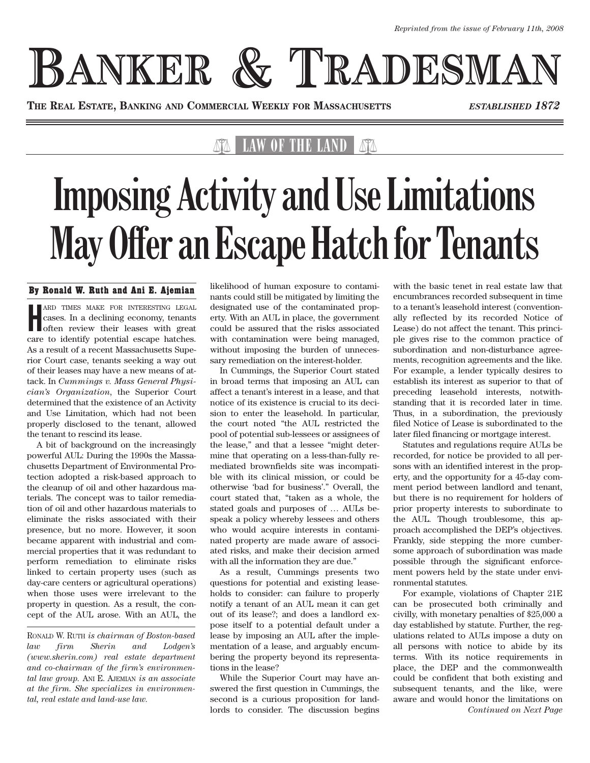# **BANKER & TRADESMAN**

**THE REAL ESTATE, BANKING AND COMMERCIAL WEEKLY FOR MASSACHUSETTS** *ESTABLISHED 1872*

### LAW OF THE LAND

## **Imposing Activity and Use Limitations May Offer an Escape Hatch for Tenants**

### By Ronald W. Ruth and Ani E. Ajemian

**HERE TIMES MAKE FOR INTERESTING LEGAL cases. In a declining economy, tenants often review their leases with great** ARD TIMES MAKE FOR INTERESTING LEGAL cases. In a declining economy, tenants care to identify potential escape hatches. As a result of a recent Massachusetts Superior Court case, tenants seeking a way out of their leases may have a new means of attack. In *Cummings v. Mass General Physician's Organization*, the Superior Court determined that the existence of an Activity and Use Limitation, which had not been properly disclosed to the tenant, allowed the tenant to rescind its lease.

A bit of background on the increasingly powerful AUL: During the 1990s the Massachusetts Department of Environmental Protection adopted a risk-based approach to the cleanup of oil and other hazardous materials. The concept was to tailor remediation of oil and other hazardous materials to eliminate the risks associated with their presence, but no more. However, it soon became apparent with industrial and commercial properties that it was redundant to perform remediation to eliminate risks linked to certain property uses (such as day-care centers or agricultural operations) when those uses were irrelevant to the property in question. As a result, the concept of the AUL arose. With an AUL, the

RONALD W. RUTH *is chairman of Boston-based law firm Sherin and Lodgen's (www.sherin.com) real estate department and co-chairman of the firm's environmental law group.* ANI E. AJEMIAN *is an associate at the firm. She specializes in environmental, real estate and land-use law.*

likelihood of human exposure to contaminants could still be mitigated by limiting the designated use of the contaminated property. With an AUL in place, the government could be assured that the risks associated with contamination were being managed, without imposing the burden of unnecessary remediation on the interest-holder.

In Cummings, the Superior Court stated in broad terms that imposing an AUL can affect a tenant's interest in a lease, and that notice of its existence is crucial to its decision to enter the leasehold. In particular, the court noted "the AUL restricted the pool of potential sub-lessees or assignees of the lease," and that a lessee "might determine that operating on a less-than-fully remediated brownfields site was incompatible with its clinical mission, or could be otherwise 'bad for business'." Overall, the court stated that, "taken as a whole, the stated goals and purposes of … AULs bespeak a policy whereby lessees and others who would acquire interests in contaminated property are made aware of associated risks, and make their decision armed with all the information they are due."

As a result, Cummings presents two questions for potential and existing leaseholds to consider: can failure to properly notify a tenant of an AUL mean it can get out of its lease?; and does a landlord expose itself to a potential default under a lease by imposing an AUL after the implementation of a lease, and arguably encumbering the property beyond its representations in the lease?

While the Superior Court may have answered the first question in Cummings, the second is a curious proposition for landlords to consider. The discussion begins with the basic tenet in real estate law that encumbrances recorded subsequent in time to a tenant's leasehold interest (conventionally reflected by its recorded Notice of Lease) do not affect the tenant. This principle gives rise to the common practice of subordination and non-disturbance agreements, recognition agreements and the like. For example, a lender typically desires to establish its interest as superior to that of preceding leasehold interests, notwithstanding that it is recorded later in time. Thus, in a subordination, the previously filed Notice of Lease is subordinated to the later filed financing or mortgage interest.

Statutes and regulations require AULs be recorded, for notice be provided to all persons with an identified interest in the property, and the opportunity for a 45-day comment period between landlord and tenant, but there is no requirement for holders of prior property interests to subordinate to the AUL. Though troublesome, this approach accomplished the DEP's objectives. Frankly, side stepping the more cumbersome approach of subordination was made possible through the significant enforcement powers held by the state under environmental statutes.

For example, violations of Chapter 21E can be prosecuted both criminally and civilly, with monetary penalties of \$25,000 a day established by statute. Further, the regulations related to AULs impose a duty on all persons with notice to abide by its terms. With its notice requirements in place, the DEP and the commonwealth could be confident that both existing and subsequent tenants, and the like, were aware and would honor the limitations on *Continued on Next Page*